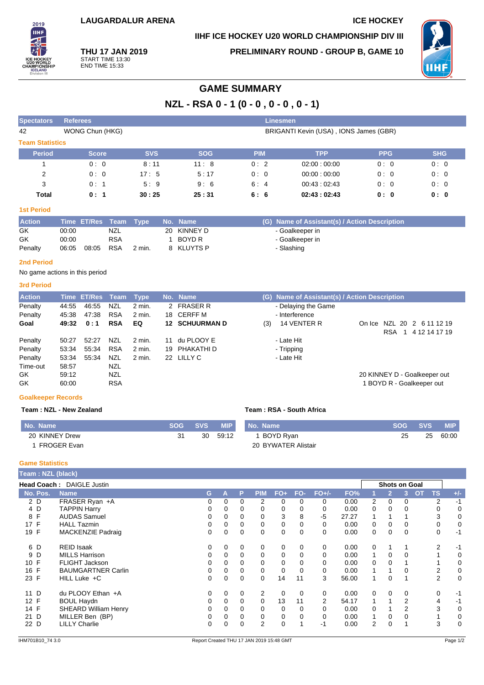## **IIHF ICE HOCKEY U20 WORLD CHAMPIONSHIP DIV III**



**THU 17 JAN 2019** START TIME 13:30 END TIME 15:33

**PRELIMINARY ROUND - GROUP B, GAME 10**



## **GAME SUMMARY**

**NZL - RSA 0 - 1 (0 - 0 , 0 - 0 , 0 - 1)**

| <b>Spectators</b>      | <b>Referees</b> |            |            | <b>Linesmen</b> |                                        |            |            |
|------------------------|-----------------|------------|------------|-----------------|----------------------------------------|------------|------------|
| 42                     | WONG Chun (HKG) |            |            |                 | BRIGANTI Kevin (USA), IONS James (GBR) |            |            |
| <b>Team Statistics</b> |                 |            |            |                 |                                        |            |            |
| <b>Period</b>          | <b>Score</b>    | <b>SVS</b> | <b>SOG</b> | <b>PIM</b>      | <b>TPP</b>                             | <b>PPG</b> | <b>SHG</b> |
|                        | 0:0             | 8:11       | 11:8       | 0:2             | 02:00:00:00                            | 0:0        | 0:0        |
| 2                      | 0:0             | 17:5       | 5:17       | 0:0             | 00:00:00:00                            | 0:0        | 0:0        |
| 3                      | 0:1             | 5:9        | 9:6        | 6:4             | 00.43:02.43                            | 0:0        | 0:0        |
| Total                  | 0:1             | 30:25      | 25:31      | 6:6             | 02:43:02:43                            | 0: 0       | 0: 0       |

#### **1st Period**

| <b>Action</b> |       | Time ET/Res Team Type |            |        | ⊾ No. Name \ | (G) Name of Assistant(s) / Action Description |
|---------------|-------|-----------------------|------------|--------|--------------|-----------------------------------------------|
| GK            | 00:00 |                       | NZL        |        | 20 KINNEY D  | - Goalkeeper in                               |
| GK            | 00:00 |                       | RSA        |        | BOYD R       | - Goalkeeper in                               |
| Penalty       | 06:05 | 08:05                 | <b>RSA</b> | 2 min. | 8 KLUYTS P   | Slashing                                      |

#### **2nd Period**

No game actions in this period

#### **3rd Period**

| <b>Action</b> |       | Time ET/Res Team |            | Type     |    | No. Name              |     | (G) Name of Assistant(s) / Action Description |            |                              |  |
|---------------|-------|------------------|------------|----------|----|-----------------------|-----|-----------------------------------------------|------------|------------------------------|--|
| Penalty       | 44:55 | 46:55            | NZL        | $2$ min. |    | 2 FRASER R            |     | - Delaying the Game                           |            |                              |  |
| Penalty       | 45:38 | 47:38            | <b>RSA</b> | 2 min.   |    | 18 CERFF M            |     | - Interference                                |            |                              |  |
| Goal          | 49:32 | 0:1              | <b>RSA</b> | EQ       |    | <b>12 SCHUURMAN D</b> | (3) | 14 VENTER R                                   |            | On Ice NZL 20 2 6 11 12 19   |  |
|               |       |                  |            |          |    |                       |     |                                               | <b>RSA</b> | 1 4 12 14 17 19              |  |
| Penalty       | 50:27 | 52:27            | NZL        | 2 min.   | 11 | du PLOOY E            |     | - Late Hit                                    |            |                              |  |
| Penalty       | 53:34 | 55:34            | <b>RSA</b> | 2 min.   | 19 | PHAKATHI D            |     | - Tripping                                    |            |                              |  |
| Penalty       | 53.34 | 55:34            | NZL        | 2 min.   |    | 22 LILLY C            |     | - Late Hit                                    |            |                              |  |
| Time-out      | 58:57 |                  | NZL        |          |    |                       |     |                                               |            |                              |  |
| GK.           | 59:12 |                  | <b>NZL</b> |          |    |                       |     |                                               |            | 20 KINNEY D - Goalkeeper out |  |
| GK            | 60:00 |                  | <b>RSA</b> |          |    |                       |     |                                               |            | BOYD R - Goalkeeper out      |  |

#### **Goalkeeper Records**

#### **Team : NZL - New Zealand Team : RSA - South Africa**

| No. Name       | <b>SOG</b> | SVS | <b>MIP</b> | No. Name            | <b>SOG</b> | <b>SVS</b> | <b>MIP</b> |
|----------------|------------|-----|------------|---------------------|------------|------------|------------|
| 20 KINNEY Drew |            | 30  | 59:12      | 1 BOYD Ryan         | 25         | 25         | 60:00      |
| FROGER Evan    |            |     |            | 20 BYWATER Alistair |            |            |            |

#### **Game Statistics**

| Team: NZL (black) |                                  |   |          |          |                |       |          |                |       |                |                |                      |           |                |       |
|-------------------|----------------------------------|---|----------|----------|----------------|-------|----------|----------------|-------|----------------|----------------|----------------------|-----------|----------------|-------|
|                   | <b>Head Coach: DAIGLE Justin</b> |   |          |          |                |       |          |                |       |                |                | <b>Shots on Goal</b> |           |                |       |
| No. Pos.          | <b>Name</b>                      | G | Α        | P        | PIM            | $FO+$ | FO-      | $FO+/-$        | FO%   |                | $\overline{2}$ | 3.                   | <b>OT</b> | <b>TS</b>      | $+/-$ |
| 2 D               | FRASER Ryan +A                   | 0 | $\Omega$ | 0        | 2              | 0     | 0        | 0              | 0.00  | $\overline{2}$ | 0              | $\Omega$             |           | $\overline{2}$ | $-1$  |
| 4 D               | <b>TAPPIN Harry</b>              | 0 | 0        | 0        | 0              | 0     | 0        | 0              | 0.00  | 0              | 0              | 0                    |           | 0              | 0     |
| 8 F               | <b>AUDAS Samuel</b>              | 0 | 0        | 0        | 0              | 3     | 8        | -5             | 27.27 |                |                |                      |           | 3              | 0     |
| 17 F              | <b>HALL Tazmin</b>               | 0 | 0        | 0        | 0              | 0     | 0        | $\Omega$       | 0.00  | 0              | 0              |                      |           | 0              | 0     |
| 19 F              | <b>MACKENZIE Padraig</b>         | 0 | 0        | 0        | 0              | 0     | 0        | 0              | 0.00  | 0              | 0              | $\Omega$             |           | 0              | $-1$  |
| 6 D               | <b>REID Isaak</b>                | 0 | 0        | 0        | 0              | 0     | 0        | 0              | 0.00  | 0              |                |                      |           | 2              | $-1$  |
| 9 D               | <b>MILLS Harrison</b>            | 0 | 0        | 0        | 0              | 0     |          | 0              | 0.00  |                | 0              |                      |           |                | 0     |
| 10 F              | <b>FLIGHT Jackson</b>            | 0 | 0        | 0        | $\Omega$       | 0     | 0        | 0              | 0.00  | $\Omega$       | 0              |                      |           |                | 0     |
| 16 F              | <b>BAUMGARTNER Carlin</b>        | 0 | $\Omega$ | 0        | 0              | 0     | $\Omega$ | 0              | 0.00  |                |                |                      |           | 2              | 0     |
| 23 F              | HILL Luke +C                     | 0 | 0        | 0        | $\Omega$       | 14    | 11       | 3              | 56.00 |                | 0              |                      |           | $\overline{2}$ | 0     |
| 11 D              | du PLOOY Ethan +A                | 0 | $\Omega$ | 0        | 2              | 0     | $\Omega$ | 0              | 0.00  | 0              | 0              | $\Omega$             |           | 0              | $-1$  |
| 12 F              | <b>BOUL Haydn</b>                | 0 | 0        | 0        | 0              | 13    | 11       | $\overline{2}$ | 54.17 |                |                | 2                    |           | 4              | $-1$  |
| 14 F              | <b>SHEARD William Henry</b>      | 0 | 0        | 0        | 0              | 0     | $\Omega$ | 0              | 0.00  | $\Omega$       |                | 2                    |           | 3              | 0     |
| 21 D              | MILLER Ben (BP)                  |   | 0        | 0        | 0              | 0     |          | 0              | 0.00  |                | 0              |                      |           |                | 0     |
| 22 D              | <b>LILLY Charlie</b>             | 0 | 0        | $\Omega$ | $\overline{2}$ | 0     |          | -1             | 0.00  | 2              | 0              |                      |           | 3              | 0     |